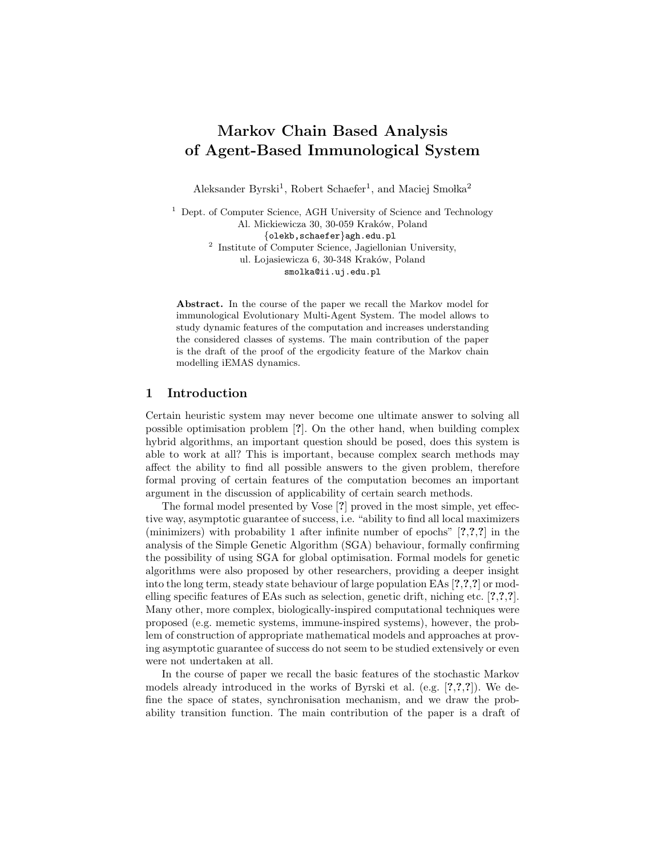# Markov Chain Based Analysis of Agent-Based Immunological System

Aleksander Byrski<sup>1</sup>, Robert Schaefer<sup>1</sup>, and Maciej Smołka<sup>2</sup>

<sup>1</sup> Dept. of Computer Science, AGH University of Science and Technology Al. Mickiewicza 30, 30-059 Kraków, Poland {olekb,schaefer}agh.edu.pl <sup>2</sup> Institute of Computer Science, Jagiellonian University, ul. Lojasiewicza 6, 30-348 Kraków, Poland smolka@ii.uj.edu.pl

Abstract. In the course of the paper we recall the Markov model for immunological Evolutionary Multi-Agent System. The model allows to study dynamic features of the computation and increases understanding the considered classes of systems. The main contribution of the paper is the draft of the proof of the ergodicity feature of the Markov chain modelling iEMAS dynamics.

### 1 Introduction

Certain heuristic system may never become one ultimate answer to solving all possible optimisation problem [?]. On the other hand, when building complex hybrid algorithms, an important question should be posed, does this system is able to work at all? This is important, because complex search methods may affect the ability to find all possible answers to the given problem, therefore formal proving of certain features of the computation becomes an important argument in the discussion of applicability of certain search methods.

The formal model presented by Vose [?] proved in the most simple, yet effective way, asymptotic guarantee of success, i.e. "ability to find all local maximizers (minimizers) with probability 1 after infinite number of epochs" [?,?,?] in the analysis of the Simple Genetic Algorithm (SGA) behaviour, formally confirming the possibility of using SGA for global optimisation. Formal models for genetic algorithms were also proposed by other researchers, providing a deeper insight into the long term, steady state behaviour of large population EAs [?,?,?] or modelling specific features of EAs such as selection, genetic drift, niching etc. [?,?,?]. Many other, more complex, biologically-inspired computational techniques were proposed (e.g. memetic systems, immune-inspired systems), however, the problem of construction of appropriate mathematical models and approaches at proving asymptotic guarantee of success do not seem to be studied extensively or even were not undertaken at all.

In the course of paper we recall the basic features of the stochastic Markov models already introduced in the works of Byrski et al. (e.g. [?,?,?]). We define the space of states, synchronisation mechanism, and we draw the probability transition function. The main contribution of the paper is a draft of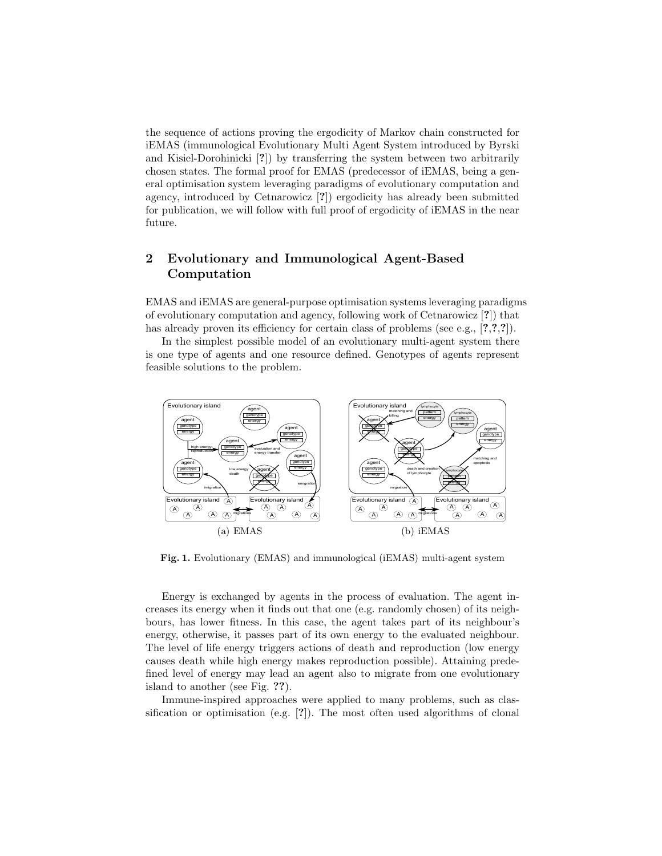the sequence of actions proving the ergodicity of Markov chain constructed for iEMAS (immunological Evolutionary Multi Agent System introduced by Byrski and Kisiel-Dorohinicki [?]) by transferring the system between two arbitrarily chosen states. The formal proof for EMAS (predecessor of iEMAS, being a general optimisation system leveraging paradigms of evolutionary computation and agency, introduced by Cetnarowicz [?]) ergodicity has already been submitted for publication, we will follow with full proof of ergodicity of iEMAS in the near future.

## 2 Evolutionary and Immunological Agent-Based Computation

EMAS and iEMAS are general-purpose optimisation systems leveraging paradigms of evolutionary computation and agency, following work of Cetnarowicz [?]) that has already proven its efficiency for certain class of problems (see e.g., [?,?,?]).

In the simplest possible model of an evolutionary multi-agent system there is one type of agents and one resource defined. Genotypes of agents represent feasible solutions to the problem.



Fig. 1. Evolutionary (EMAS) and immunological (iEMAS) multi-agent system

Energy is exchanged by agents in the process of evaluation. The agent increases its energy when it finds out that one (e.g. randomly chosen) of its neighbours, has lower fitness. In this case, the agent takes part of its neighbour's energy, otherwise, it passes part of its own energy to the evaluated neighbour. The level of life energy triggers actions of death and reproduction (low energy causes death while high energy makes reproduction possible). Attaining predefined level of energy may lead an agent also to migrate from one evolutionary island to another (see Fig. ??).

Immune-inspired approaches were applied to many problems, such as classification or optimisation (e.g. [?]). The most often used algorithms of clonal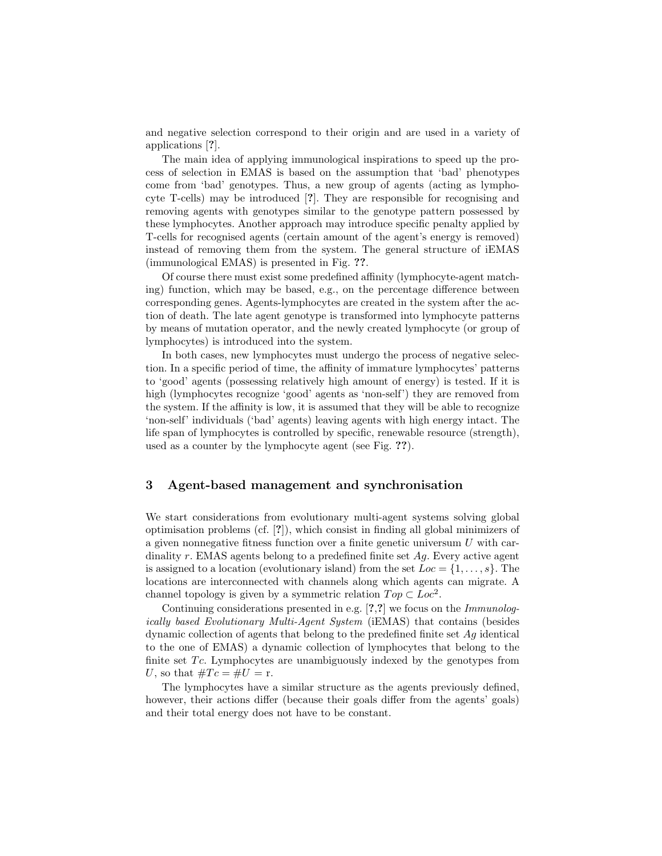and negative selection correspond to their origin and are used in a variety of applications [?].

The main idea of applying immunological inspirations to speed up the process of selection in EMAS is based on the assumption that 'bad' phenotypes come from 'bad' genotypes. Thus, a new group of agents (acting as lymphocyte T-cells) may be introduced [?]. They are responsible for recognising and removing agents with genotypes similar to the genotype pattern possessed by these lymphocytes. Another approach may introduce specific penalty applied by T-cells for recognised agents (certain amount of the agent's energy is removed) instead of removing them from the system. The general structure of iEMAS (immunological EMAS) is presented in Fig. ??.

Of course there must exist some predefined affinity (lymphocyte-agent matching) function, which may be based, e.g., on the percentage difference between corresponding genes. Agents-lymphocytes are created in the system after the action of death. The late agent genotype is transformed into lymphocyte patterns by means of mutation operator, and the newly created lymphocyte (or group of lymphocytes) is introduced into the system.

In both cases, new lymphocytes must undergo the process of negative selection. In a specific period of time, the affinity of immature lymphocytes' patterns to 'good' agents (possessing relatively high amount of energy) is tested. If it is high (lymphocytes recognize 'good' agents as 'non-self') they are removed from the system. If the affinity is low, it is assumed that they will be able to recognize 'non-self' individuals ('bad' agents) leaving agents with high energy intact. The life span of lymphocytes is controlled by specific, renewable resource (strength), used as a counter by the lymphocyte agent (see Fig. ??).

## 3 Agent-based management and synchronisation

We start considerations from evolutionary multi-agent systems solving global optimisation problems (cf. [?]), which consist in finding all global minimizers of a given nonnegative fitness function over a finite genetic universum  $U$  with cardinality r. EMAS agents belong to a predefined finite set Ag. Every active agent is assigned to a location (evolutionary island) from the set  $Loc = \{1, \ldots, s\}$ . The locations are interconnected with channels along which agents can migrate. A channel topology is given by a symmetric relation  $Top \subset Loc^2$ .

Continuing considerations presented in e.g. [?,?] we focus on the Immunologically based Evolutionary Multi-Agent System (iEMAS) that contains (besides dynamic collection of agents that belong to the predefined finite set Ag identical to the one of EMAS) a dynamic collection of lymphocytes that belong to the finite set  $T_c$ . Lymphocytes are unambiguously indexed by the genotypes from U, so that  $\#Tc = \#U = r$ .

The lymphocytes have a similar structure as the agents previously defined, however, their actions differ (because their goals differ from the agents' goals) and their total energy does not have to be constant.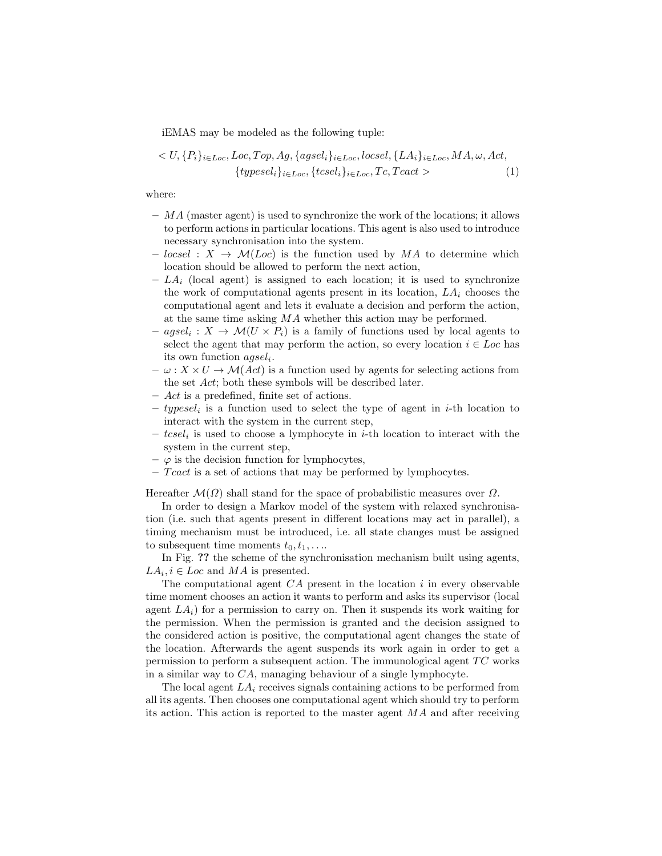iEMAS may be modeled as the following tuple:

$$
\langle U, \{P_i\}_{i \in Loc}, Loc, Top, Ag, \{agsel_i\}_{i \in Loc}, \{LA_i\}_{i \in Loc}, MA, \omega, Act,
$$
  
\n
$$
\{typesel_i\}_{i \in Loc}, \{tcsel_i\}_{i \in Loc}, Tc, Tcact \rangle
$$
 (1)

where:

- $-MA$  (master agent) is used to synchronize the work of the locations; it allows to perform actions in particular locations. This agent is also used to introduce necessary synchronisation into the system.
- $-$  locsel :  $X \rightarrow \mathcal{M}(Loc)$  is the function used by MA to determine which location should be allowed to perform the next action,
- $-LA_i$  (local agent) is assigned to each location; it is used to synchronize the work of computational agents present in its location,  $LA<sub>i</sub>$  chooses the computational agent and lets it evaluate a decision and perform the action, at the same time asking MA whether this action may be performed.
- $-$  agsel<sub>i</sub>:  $X \to \mathcal{M}(U \times P_i)$  is a family of functions used by local agents to select the agent that may perform the action, so every location  $i \in Loc$  has its own function  $asel_i$ .
- $-\omega: X \times U \to \mathcal{M}(Act)$  is a function used by agents for selecting actions from the set Act; both these symbols will be described later.
- $-$  Act is a predefined, finite set of actions.
- $-$  typesel<sub>i</sub> is a function used to select the type of agent in *i*-th location to interact with the system in the current step,
- $-$  tcsel<sub>i</sub> is used to choose a lymphocyte in *i*-th location to interact with the system in the current step,
- $-\varphi$  is the decision function for lymphocytes,
- $-$  T cact is a set of actions that may be performed by lymphocytes.

Hereafter  $\mathcal{M}(\Omega)$  shall stand for the space of probabilistic measures over  $\Omega$ .

In order to design a Markov model of the system with relaxed synchronisation (i.e. such that agents present in different locations may act in parallel), a timing mechanism must be introduced, i.e. all state changes must be assigned to subsequent time moments  $t_0, t_1, \ldots$ 

In Fig. ?? the scheme of the synchronisation mechanism built using agents,  $LA_i, i \in Loc$  and  $MA$  is presented.

The computational agent  $CA$  present in the location  $i$  in every observable time moment chooses an action it wants to perform and asks its supervisor (local agent  $LA<sub>i</sub>$ ) for a permission to carry on. Then it suspends its work waiting for the permission. When the permission is granted and the decision assigned to the considered action is positive, the computational agent changes the state of the location. Afterwards the agent suspends its work again in order to get a permission to perform a subsequent action. The immunological agent  $TC$  works in a similar way to CA, managing behaviour of a single lymphocyte.

The local agent  $LA_i$  receives signals containing actions to be performed from all its agents. Then chooses one computational agent which should try to perform its action. This action is reported to the master agent  $MA$  and after receiving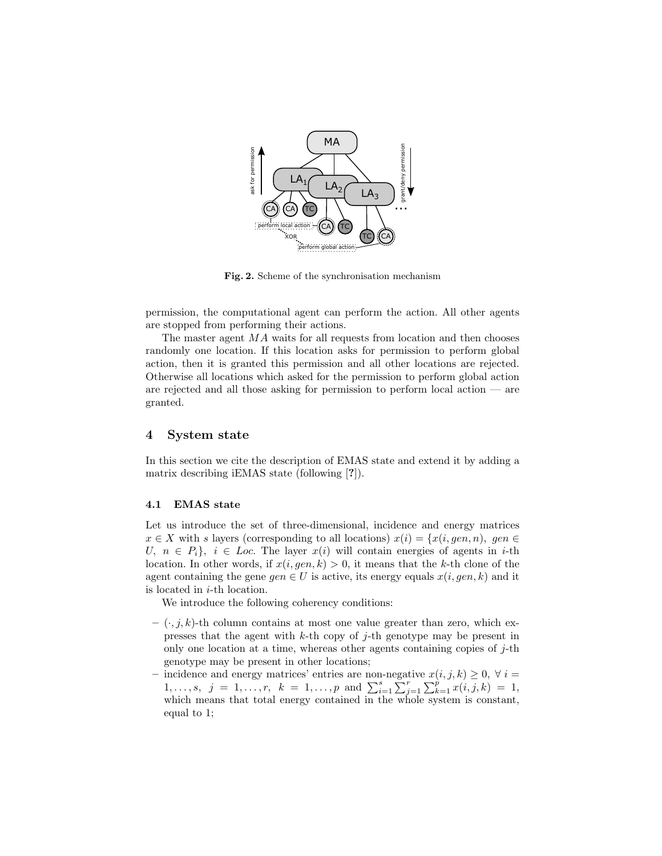

Fig. 2. Scheme of the synchronisation mechanism

permission, the computational agent can perform the action. All other agents are stopped from performing their actions.

The master agent MA waits for all requests from location and then chooses randomly one location. If this location asks for permission to perform global action, then it is granted this permission and all other locations are rejected. Otherwise all locations which asked for the permission to perform global action are rejected and all those asking for permission to perform local action — are granted.

#### 4 System state

In this section we cite the description of EMAS state and extend it by adding a matrix describing iEMAS state (following [?]).

#### 4.1 EMAS state

Let us introduce the set of three-dimensional, incidence and energy matrices  $x \in X$  with s layers (corresponding to all locations)  $x(i) = \{x(i, gen, n), gen \in X\}$ U,  $n \in P_i$ ,  $i \in Loc$ . The layer  $x(i)$  will contain energies of agents in *i*-th location. In other words, if  $x(i, gen, k) > 0$ , it means that the k-th clone of the agent containing the gene  $gen \in U$  is active, its energy equals  $x(i, gen, k)$  and it is located in  $i$ -th location.

We introduce the following coherency conditions:

- $(\cdot, j, k)$ -th column contains at most one value greater than zero, which expresses that the agent with  $k$ -th copy of j-th genotype may be present in only one location at a time, whereas other agents containing copies of  $j$ -th genotype may be present in other locations;
- incidence and energy matrices' entries are non-negative  $x(i, j, k) \geq 0, \forall i =$  $1, \ldots, s, \, j = 1, \ldots, r, \, k = 1, \ldots, p \, \text{ and } \sum_{i=1}^{s} \sum_{j=1}^{r} \sum_{k=1}^{p} x(i, j, k) = 1,$ which means that total energy contained in the whole system is constant, equal to 1;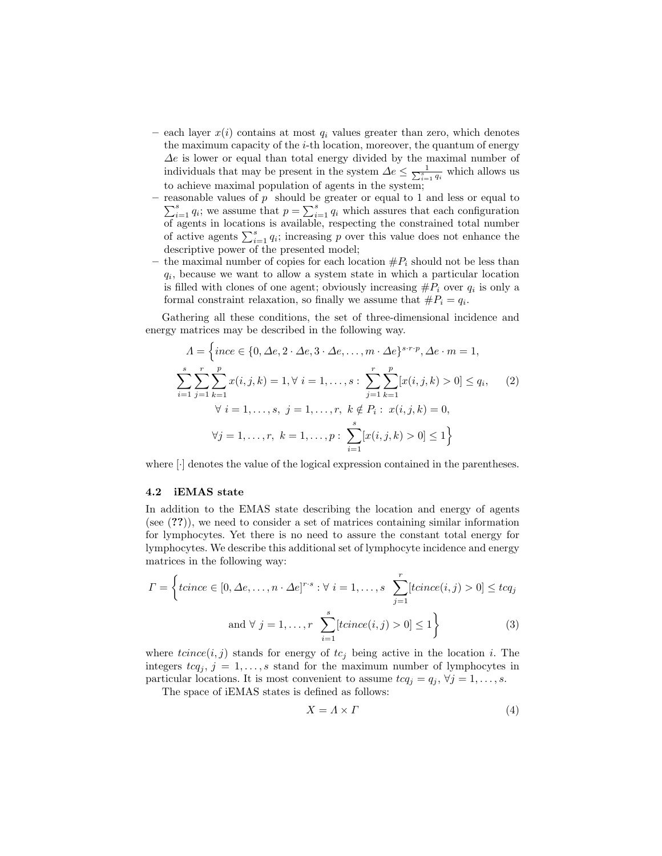- each layer  $x(i)$  contains at most  $q_i$  values greater than zero, which denotes the maximum capacity of the  $i$ -th location, moreover, the quantum of energy  $\Delta e$  is lower or equal than total energy divided by the maximal number of individuals that may be present in the system  $\Delta e \le \frac{1}{\sum_{i=1}^s q_i}$  which allows us to achieve maximal population of agents in the system;
- reasonable values of P asonable values of p should be greater or equal to 1 and less or equal to  $\sum_{i=1}^{s} q_i$ ; we assume that  $p = \sum_{i=1}^{s} q_i$  which assures that each configuration of agents in locations is available, respecting the constrained total number of active agents  $\sum_{i=1}^{s} q_i$ ; increasing p over this value does not enhance the descriptive power of the presented model;
- the maximal number of copies for each location  $\#P_i$  should not be less than  $q_i$ , because we want to allow a system state in which a particular location is filled with clones of one agent; obviously increasing  $\#P_i$  over  $q_i$  is only a formal constraint relaxation, so finally we assume that  $#P_i = q_i$ .

Gathering all these conditions, the set of three-dimensional incidence and energy matrices may be described in the following way.

$$
\Lambda = \left\{ \text{ince } \in \{0, \Delta e, 2 \cdot \Delta e, 3 \cdot \Delta e, \dots, m \cdot \Delta e\}^{s \cdot r \cdot p}, \Delta e \cdot m = 1, \\ \sum_{i=1}^{s} \sum_{j=1}^{r} \sum_{k=1}^{p} x(i, j, k) = 1, \forall i = 1, \dots, s : \sum_{j=1}^{r} \sum_{k=1}^{p} [x(i, j, k) > 0] \le q_i, \quad (2) \\ \forall i = 1, \dots, s, \ j = 1, \dots, r, \ k \notin P_i : \ x(i, j, k) = 0, \\ \forall j = 1, \dots, r, \ k = 1, \dots, p : \sum_{i=1}^{s} [x(i, j, k) > 0] \le 1 \right\}
$$

where [·] denotes the value of the logical expression contained in the parentheses.

#### 4.2 iEMAS state

In addition to the EMAS state describing the location and energy of agents (see (??)), we need to consider a set of matrices containing similar information for lymphocytes. Yet there is no need to assure the constant total energy for lymphocytes. We describe this additional set of lymphocyte incidence and energy matrices in the following way:

$$
\Gamma = \left\{t \text{cince } \in [0, \Delta e, \dots, n \cdot \Delta e]^{r \cdot s} : \forall i = 1, \dots, s \sum_{j=1}^{r} [t \text{cince}(i, j) > 0] \le t \text{cqs}\right\}
$$
  
and  $\forall j = 1, \dots, r \sum_{i=1}^{s} [t \text{cince}(i, j) > 0] \le 1\right\}$  (3)

where  $t$ cince $(i, j)$  stands for energy of  $tc_j$  being active in the location i. The integers  $tcq_i$ ,  $j = 1, \ldots, s$  stand for the maximum number of lymphocytes in particular locations. It is most convenient to assume  $tcq_j = q_j, \forall j = 1, \ldots, s$ .

The space of iEMAS states is defined as follows:

$$
X = \Lambda \times \Gamma \tag{4}
$$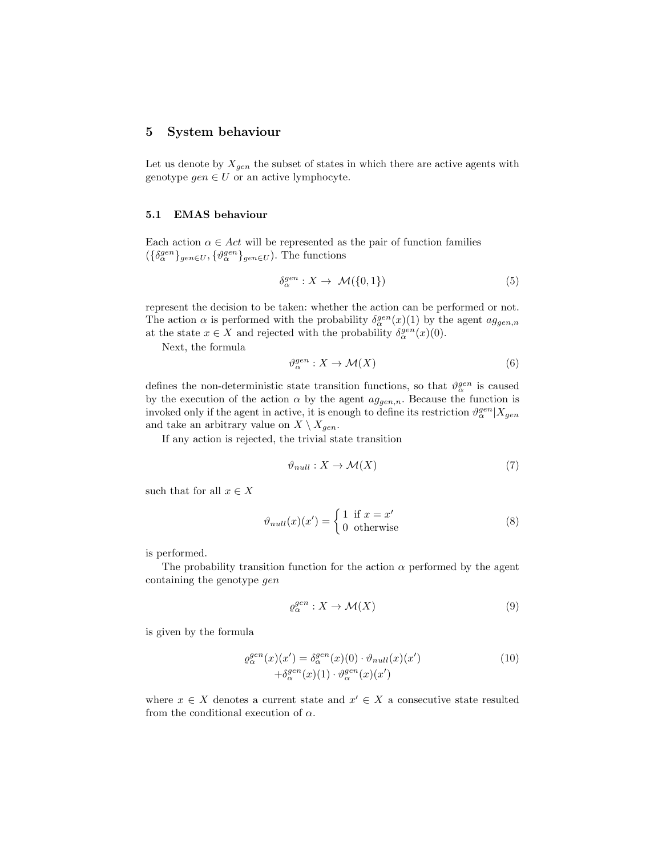## 5 System behaviour

Let us denote by  $X_{gen}$  the subset of states in which there are active agents with genotype  $gen \in U$  or an active lymphocyte.

### 5.1 EMAS behaviour

Each action  $\alpha \in Act$  will be represented as the pair of function families  $(\{\delta_{\alpha}^{gen}\}_{gen\in U}, \{\vartheta_{\alpha}^{gen}\}_{gen\in U})$ . The functions

$$
\delta_{\alpha}^{gen}: X \to \mathcal{M}(\{0,1\})
$$
 (5)

represent the decision to be taken: whether the action can be performed or not. The action  $\alpha$  is performed with the probability  $\delta_{\alpha}^{gen}(x)(1)$  by the agent  $ag_{gen,n}$ at the state  $x \in X$  and rejected with the probability  $\delta_{\alpha}^{gen}(x)(0)$ .

Next, the formula

$$
\vartheta_{\alpha}^{gen}: X \to \mathcal{M}(X) \tag{6}
$$

defines the non-deterministic state transition functions, so that  $\vartheta_{\alpha}^{gen}$  is caused by the execution of the action  $\alpha$  by the agent  $ag_{gen,n}$ . Because the function is invoked only if the agent in active, it is enough to define its restriction  $\vartheta_{\alpha}^{gen} | X_{gen} |$ and take an arbitrary value on  $X \setminus X_{gen}$ .

If any action is rejected, the trivial state transition

$$
\vartheta_{null}: X \to \mathcal{M}(X) \tag{7}
$$

such that for all  $x \in X$ 

$$
\vartheta_{null}(x)(x') = \begin{cases} 1 & \text{if } x = x' \\ 0 & \text{otherwise} \end{cases}
$$
 (8)

is performed.

The probability transition function for the action  $\alpha$  performed by the agent containing the genotype gen

$$
\varrho^{gen}_{\alpha}: X \to \mathcal{M}(X) \tag{9}
$$

is given by the formula

$$
\varrho_{\alpha}^{gen}(x)(x') = \delta_{\alpha}^{gen}(x)(0) \cdot \vartheta_{null}(x)(x')
$$
  
 
$$
+ \delta_{\alpha}^{gen}(x)(1) \cdot \vartheta_{\alpha}^{gen}(x)(x')
$$
 (10)

where  $x \in X$  denotes a current state and  $x' \in X$  a consecutive state resulted from the conditional execution of  $\alpha$ .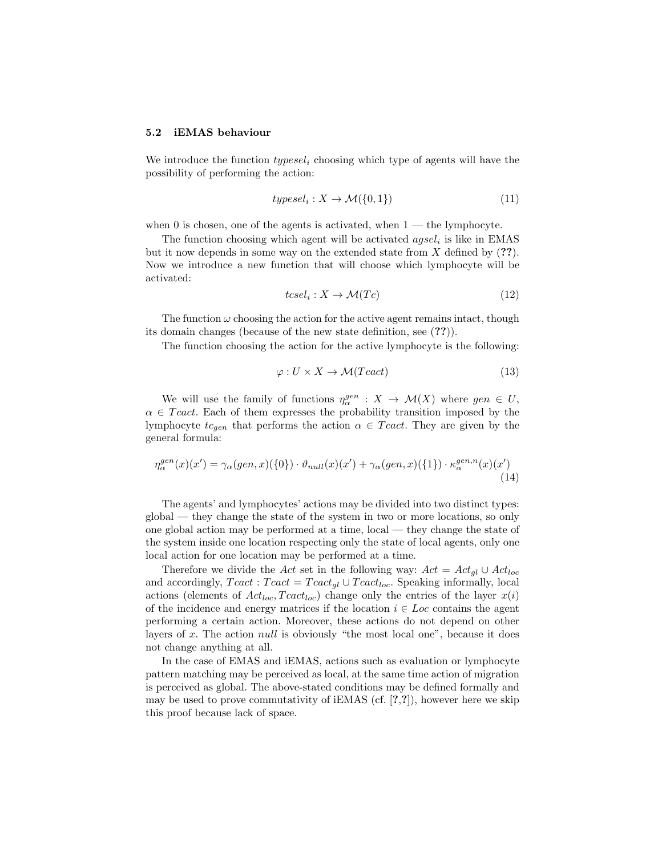#### 5.2 iEMAS behaviour

We introduce the function  $typesel_i$  choosing which type of agents will have the possibility of performing the action:

$$
typesel_i: X \to \mathcal{M}(\{0,1\})
$$
\n<sup>(11)</sup>

when  $\theta$  is chosen, one of the agents is activated, when  $1$  — the lymphocyte.

The function choosing which agent will be activated  $agsel<sub>i</sub>$  is like in EMAS but it now depends in some way on the extended state from  $X$  defined by  $(??)$ . Now we introduce a new function that will choose which lymphocyte will be activated:

$$
tcsel_i: X \to \mathcal{M}(Tc) \tag{12}
$$

The function  $\omega$  choosing the action for the active agent remains intact, though its domain changes (because of the new state definition, see (??)).

The function choosing the action for the active lymphocyte is the following:

$$
\varphi: U \times X \to \mathcal{M}(Tccct) \tag{13}
$$

We will use the family of functions  $\eta_{\alpha}^{gen} : X \to \mathcal{M}(X)$  where  $gen \in U$ ,  $\alpha \in \text{Teact.}$  Each of them expresses the probability transition imposed by the lymphocyte  $tc_{gen}$  that performs the action  $\alpha \in T \text{cat.}$  They are given by the general formula:

$$
\eta_{\alpha}^{gen}(x)(x') = \gamma_{\alpha}(gen, x)(\{0\}) \cdot \vartheta_{null}(x)(x') + \gamma_{\alpha}(gen, x)(\{1\}) \cdot \kappa_{\alpha}^{gen,n}(x)(x') \tag{14}
$$

The agents' and lymphocytes' actions may be divided into two distinct types: global — they change the state of the system in two or more locations, so only one global action may be performed at a time, local — they change the state of the system inside one location respecting only the state of local agents, only one local action for one location may be performed at a time.

Therefore we divide the Act set in the following way:  $Act = Act_{gl} \cup Act_{loc}$ and accordingly,  $T \text{cat} : T \text{cat} = T \text{cat}_{gl} \cup T \text{cat}_{loc}$ . Speaking informally, local actions (elements of  $Act_{loc}, Tcat_{loc}$ ) change only the entries of the layer  $x(i)$ of the incidence and energy matrices if the location  $i \in Loc$  contains the agent performing a certain action. Moreover, these actions do not depend on other layers of  $x$ . The action *null* is obviously "the most local one", because it does not change anything at all.

In the case of EMAS and iEMAS, actions such as evaluation or lymphocyte pattern matching may be perceived as local, at the same time action of migration is perceived as global. The above-stated conditions may be defined formally and may be used to prove commutativity of iEMAS (cf.  $[?,?]$ ), however here we skip this proof because lack of space.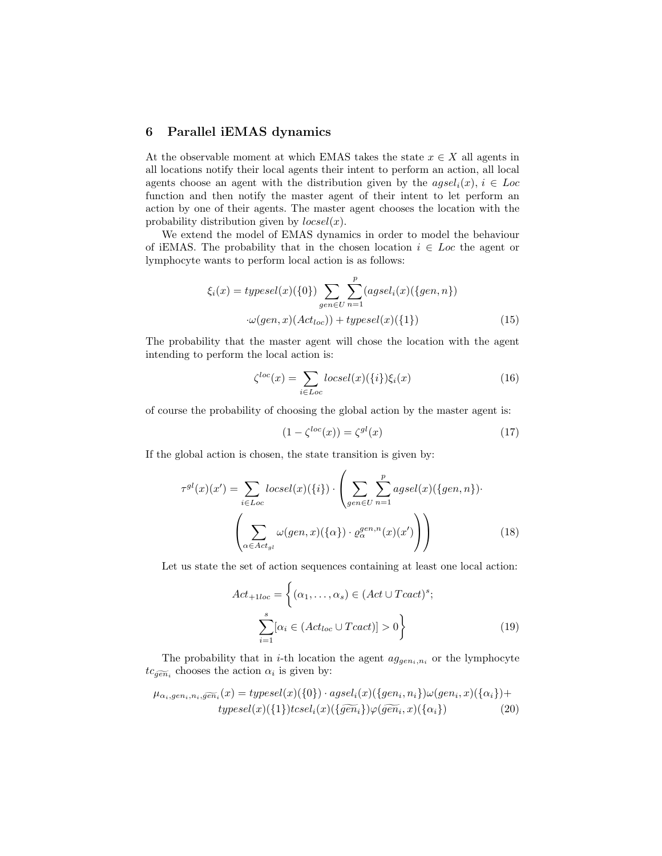## 6 Parallel iEMAS dynamics

At the observable moment at which EMAS takes the state  $x \in X$  all agents in all locations notify their local agents their intent to perform an action, all local agents choose an agent with the distribution given by the  $ageel_i(x)$ ,  $i \in Loc$ function and then notify the master agent of their intent to let perform an action by one of their agents. The master agent chooses the location with the probability distribution given by  $locsel(x)$ .

We extend the model of EMAS dynamics in order to model the behaviour of iEMAS. The probability that in the chosen location  $i \in Loc$  the agent or lymphocyte wants to perform local action is as follows:

$$
\xi_i(x) = \text{typesel}(x)(\{0\}) \sum_{gen \in U} \sum_{n=1}^p (\text{agesel}_i(x)(\{gen, n\})
$$

$$
\omega(\text{gen}, x)(\text{Act}_{loc})) + \text{typesel}(x)(\{1\}) \tag{15}
$$

The probability that the master agent will chose the location with the agent intending to perform the local action is:

$$
\zeta^{loc}(x) = \sum_{i \in Loc} |ocsel(x)(\{i\})\xi_i(x)
$$
\n(16)

of course the probability of choosing the global action by the master agent is:

$$
(1 - \zeta^{loc}(x)) = \zeta^{gl}(x) \tag{17}
$$

If the global action is chosen, the state transition is given by:

$$
\tau^{gl}(x)(x') = \sum_{i \in Loc} (cscel(x)(\{i\}) \cdot \left(\sum_{gen \in U} \sum_{n=1}^{p} agsel(x)(\{gen, n\}) \cdot \left(\sum_{gen \in U} \omega(gen, x)(\{\alpha\}) \cdot \varrho_{\alpha}^{gen, n}(x)(x')\right)\right)
$$
(18)

Let us state the set of action sequences containing at least one local action:

$$
Act_{+1loc} = \left\{ (\alpha_1, ..., \alpha_s) \in (Act \cup Tcat)^s; \atop \sum_{i=1}^s [\alpha_i \in (Act_{loc} \cup Tcat)] > 0 \right\}
$$
 (19)

The probability that in *i*-th location the agent  $ag_{gen_i,n_i}$  or the lymphocyte  $tc_{\widetilde{gen}_i}$  chooses the action  $\alpha_i$  is given by:

$$
\mu_{\alpha_i, gen_i, n_i, \widetilde{gen}_i}(x) = typesel(x)(\{0\}) \cdot agsel_i(x)(\{gen_i, n_i\}) \omega(gen_i, x)(\{\alpha_i\}) + typesel(x)(\{1\})tcsel_i(x)(\{\widetilde{gen}_i\}) \varphi(\widetilde{gen}_i, x)(\{\alpha_i\})
$$
\n(20)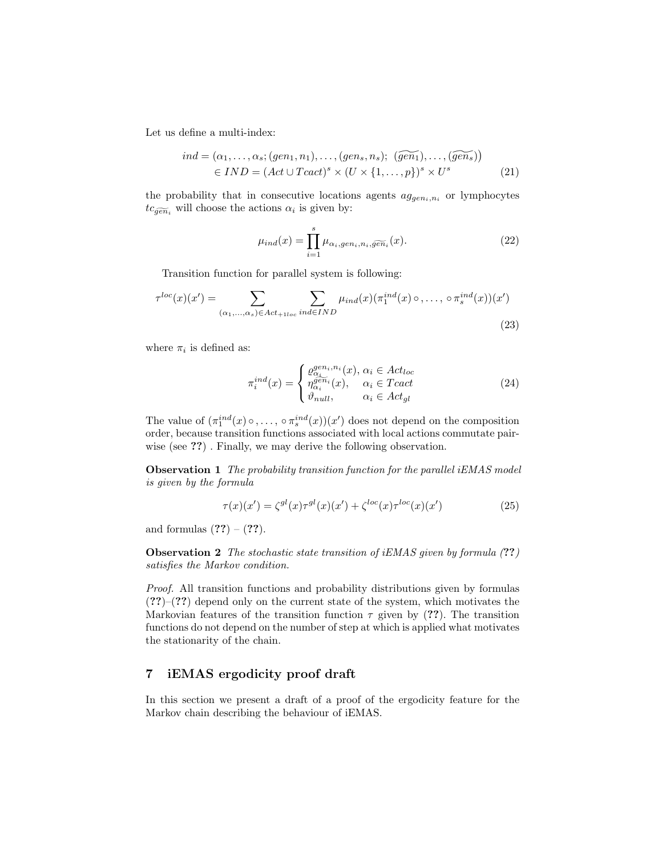Let us define a multi-index:

$$
ind = (\alpha_1, \dots, \alpha_s; (gen_1, n_1), \dots, (gen_s, n_s); \quad (\widetilde{gen_1}), \dots, (\widetilde{gen_s}) )
$$
  

$$
\in IND = (Act \cup Tcat)^s \times (U \times \{1, \dots, p\})^s \times U^s
$$
 (21)

the probability that in consecutive locations agents  $ag_{gen_i,n_i}$  or lymphocytes  $tc_{\widetilde{gen}_i}$  will choose the actions  $\alpha_i$  is given by:

$$
\mu_{ind}(x) = \prod_{i=1}^{s} \mu_{\alpha_i, gen_i, n_i, \widetilde{gen}_i}(x). \tag{22}
$$

Transition function for parallel system is following:

$$
\tau^{loc}(x)(x') = \sum_{(\alpha_1,\ldots,\alpha_s)\in Act_{+1loc} \text{ }ind \in IND} \mu_{ind}(x)(\pi_1^{ind}(x)\circ,\ldots,\circ \pi_s^{ind}(x))(x')
$$
\n(23)

where  $\pi_i$  is defined as:

$$
\pi_i^{ind}(x) = \begin{cases}\n\varrho_{\alpha_i}^{gen_i, n_i}(x), \alpha_i \in \text{Act}_{loc} \\
\eta_{\alpha_i}^{gen_i}(x), \quad \alpha_i \in \text{T}cact \\
\vartheta_{null}, \qquad \alpha_i \in \text{Act}_{gl}\n\end{cases} \tag{24}
$$

The value of  $(\pi_1^{ind}(x) \circ, \ldots, \circ \pi_s^{ind}(x))(x')$  does not depend on the composition order, because transition functions associated with local actions commutate pairwise (see ??) . Finally, we may derive the following observation.

**Observation 1** The probability transition function for the parallel iEMAS model is given by the formula

$$
\tau(x)(x') = \zeta^{gl}(x)\tau^{gl}(x)(x') + \zeta^{loc}(x)\tau^{loc}(x)(x')
$$
\n(25)

and formulas  $(??) - (??)$ .

**Observation 2** The stochastic state transition of iEMAS given by formula  $(??)$ satisfies the Markov condition.

Proof. All transition functions and probability distributions given by formulas (??)–(??) depend only on the current state of the system, which motivates the Markovian features of the transition function  $\tau$  given by (??). The transition functions do not depend on the number of step at which is applied what motivates the stationarity of the chain.

## 7 iEMAS ergodicity proof draft

In this section we present a draft of a proof of the ergodicity feature for the Markov chain describing the behaviour of iEMAS.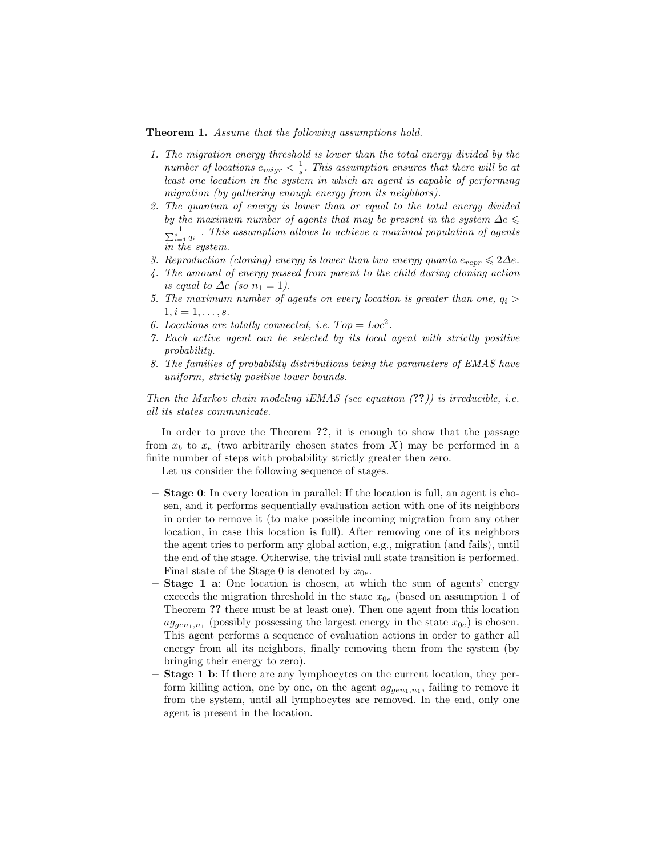Theorem 1. Assume that the following assumptions hold.

- 1. The migration energy threshold is lower than the total energy divided by the number of locations  $e_{migr} < \frac{1}{s}$ . This assumption ensures that there will be at least one location in the system in which an agent is capable of performing migration (by gathering enough energy from its neighbors).
- 2. The quantum of energy is lower than or equal to the total energy divided by the maximum number of agents that may be present in the system  $\Delta e \leq$  $\frac{1}{\sum_{i=1}^{s} q_i}$  . This assumption allows to achieve a maximal population of agents in the system.
- 3. Reproduction (cloning) energy is lower than two energy quanta  $e_{repr} \leq 2\Delta e$ .
- 4. The amount of energy passed from parent to the child during cloning action is equal to  $\Delta e$  (so  $n_1 = 1$ ).
- 5. The maximum number of agents on every location is greater than one,  $q_i >$  $1, i = 1, \ldots, s.$
- 6. Locations are totally connected, i.e.  $Top = Loc^2$ .
- 7. Each active agent can be selected by its local agent with strictly positive probability.
- 8. The families of probability distributions being the parameters of EMAS have uniform, strictly positive lower bounds.

Then the Markov chain modeling iEMAS (see equation  $(??)$ ) is irreducible, i.e. all its states communicate.

In order to prove the Theorem ??, it is enough to show that the passage from  $x_b$  to  $x_e$  (two arbitrarily chosen states from X) may be performed in a finite number of steps with probability strictly greater then zero.

Let us consider the following sequence of stages.

- Stage 0: In every location in parallel: If the location is full, an agent is chosen, and it performs sequentially evaluation action with one of its neighbors in order to remove it (to make possible incoming migration from any other location, in case this location is full). After removing one of its neighbors the agent tries to perform any global action, e.g., migration (and fails), until the end of the stage. Otherwise, the trivial null state transition is performed. Final state of the Stage 0 is denoted by  $x_{0e}$ .
- Stage 1 a: One location is chosen, at which the sum of agents' energy exceeds the migration threshold in the state  $x_{0e}$  (based on assumption 1 of Theorem ?? there must be at least one). Then one agent from this location  $ag_{gen_1,n_1}$  (possibly possessing the largest energy in the state  $x_{0e}$ ) is chosen. This agent performs a sequence of evaluation actions in order to gather all energy from all its neighbors, finally removing them from the system (by bringing their energy to zero).
- Stage 1 b: If there are any lymphocytes on the current location, they perform killing action, one by one, on the agent  $ag_{gen_1,n_1}$ , failing to remove it from the system, until all lymphocytes are removed. In the end, only one agent is present in the location.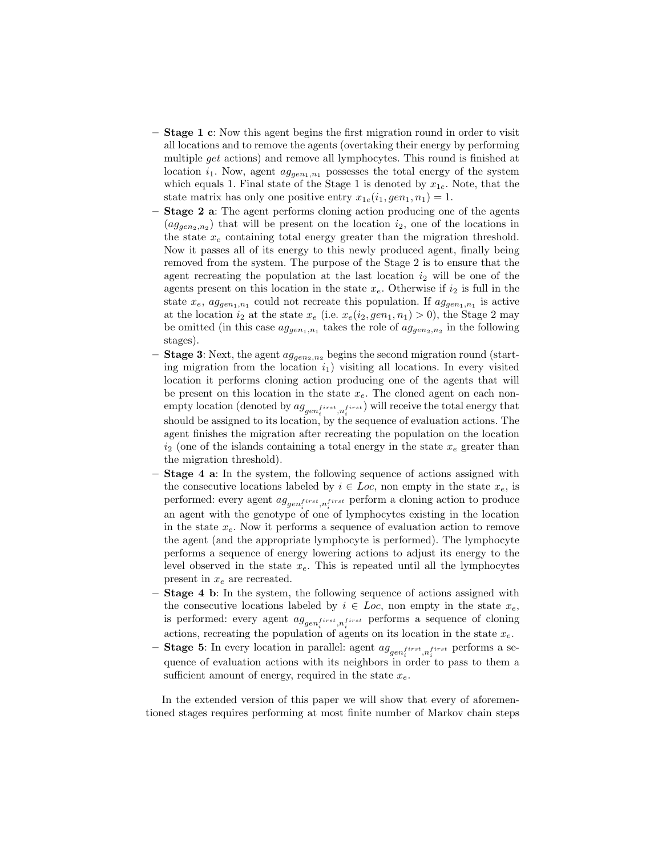- Stage 1 c: Now this agent begins the first migration round in order to visit all locations and to remove the agents (overtaking their energy by performing multiple *get* actions) and remove all lymphocytes. This round is finished at location  $i_1$ . Now, agent  $ag_{gen_1,n_1}$  possesses the total energy of the system which equals 1. Final state of the Stage 1 is denoted by  $x_{1e}$ . Note, that the state matrix has only one positive entry  $x_{1e}(i_1,gen_1, n_1) = 1$ .
- Stage 2 a: The agent performs cloning action producing one of the agents  $(ag_{gen_2,n_2})$  that will be present on the location  $i_2$ , one of the locations in the state  $x_e$  containing total energy greater than the migration threshold. Now it passes all of its energy to this newly produced agent, finally being removed from the system. The purpose of the Stage 2 is to ensure that the agent recreating the population at the last location  $i_2$  will be one of the agents present on this location in the state  $x_e$ . Otherwise if  $i_2$  is full in the state  $x_e$ ,  $ag_{gen_1,n_1}$  could not recreate this population. If  $ag_{gen_1,n_1}$  is active at the location  $i_2$  at the state  $x_e$  (i.e.  $x_e(i_2, gen_1, n_1) > 0$ ), the Stage 2 may be omitted (in this case  $ag_{gen_1,n_1}$  takes the role of  $ag_{gen_2,n_2}$  in the following stages).
- **Stage 3:** Next, the agent  $ag_{gen_2,n_2}$  begins the second migration round (starting migration from the location  $i_1$ ) visiting all locations. In every visited location it performs cloning action producing one of the agents that will be present on this location in the state  $x_e$ . The cloned agent on each nonempty location (denoted by  $ag_{gen_i^{first}, n_i^{first}}$ ) will receive the total energy that should be assigned to its location, by the sequence of evaluation actions. The agent finishes the migration after recreating the population on the location  $i_2$  (one of the islands containing a total energy in the state  $x_e$  greater than the migration threshold).
- Stage 4 a: In the system, the following sequence of actions assigned with the consecutive locations labeled by  $i \in Loc$ , non empty in the state  $x_e$ , is performed: every agent  $ag_{gen_i^{first}, n_i^{first}}$  perform a cloning action to produce an agent with the genotype of one of lymphocytes existing in the location in the state  $x_e$ . Now it performs a sequence of evaluation action to remove the agent (and the appropriate lymphocyte is performed). The lymphocyte performs a sequence of energy lowering actions to adjust its energy to the level observed in the state  $x_e$ . This is repeated until all the lymphocytes present in  $x_e$  are recreated.
- **Stage 4 b:** In the system, the following sequence of actions assigned with the consecutive locations labeled by  $i \in Loc$ , non empty in the state  $x_e$ , is performed: every agent  $ag_{gen_i^{first}, n_i^{first}}$  performs a sequence of cloning actions, recreating the population of agents on its location in the state  $x_e$ .
- **Stage 5**: In every location in parallel: agent  $ag_{gen_i^{first}, n_i^{first}}$  performs a sequence of evaluation actions with its neighbors in order to pass to them a sufficient amount of energy, required in the state  $x_e$ .

In the extended version of this paper we will show that every of aforementioned stages requires performing at most finite number of Markov chain steps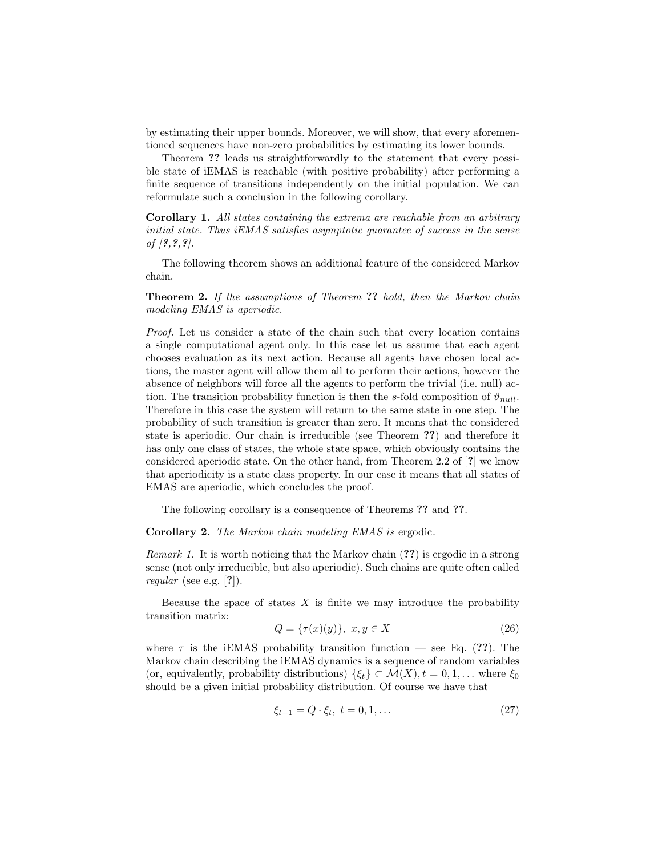by estimating their upper bounds. Moreover, we will show, that every aforementioned sequences have non-zero probabilities by estimating its lower bounds.

Theorem ?? leads us straightforwardly to the statement that every possible state of iEMAS is reachable (with positive probability) after performing a finite sequence of transitions independently on the initial population. We can reformulate such a conclusion in the following corollary.

Corollary 1. All states containing the extrema are reachable from an arbitrary initial state. Thus iEMAS satisfies asymptotic guarantee of success in the sense of  $[?, ?, ?]$ .

The following theorem shows an additional feature of the considered Markov chain.

Theorem 2. If the assumptions of Theorem ?? hold, then the Markov chain modeling EMAS is aperiodic.

Proof. Let us consider a state of the chain such that every location contains a single computational agent only. In this case let us assume that each agent chooses evaluation as its next action. Because all agents have chosen local actions, the master agent will allow them all to perform their actions, however the absence of neighbors will force all the agents to perform the trivial (i.e. null) action. The transition probability function is then the s-fold composition of  $\vartheta_{null}$ . Therefore in this case the system will return to the same state in one step. The probability of such transition is greater than zero. It means that the considered state is aperiodic. Our chain is irreducible (see Theorem ??) and therefore it has only one class of states, the whole state space, which obviously contains the considered aperiodic state. On the other hand, from Theorem 2.2 of [?] we know that aperiodicity is a state class property. In our case it means that all states of EMAS are aperiodic, which concludes the proof.

The following corollary is a consequence of Theorems ?? and ??.

Corollary 2. The Markov chain modeling EMAS is ergodic.

Remark 1. It is worth noticing that the Markov chain (??) is ergodic in a strong sense (not only irreducible, but also aperiodic). Such chains are quite often called *regular* (see e.g.  $[?]$ ).

Because the space of states  $X$  is finite we may introduce the probability transition matrix:

$$
Q = \{\tau(x)(y)\}, \ x, y \in X \tag{26}
$$

where  $\tau$  is the iEMAS probability transition function — see Eq. (??). The Markov chain describing the iEMAS dynamics is a sequence of random variables (or, equivalently, probability distributions)  $\{\xi_t\} \subset \mathcal{M}(X), t = 0, 1, \ldots$  where  $\xi_0$ should be a given initial probability distribution. Of course we have that

$$
\xi_{t+1} = Q \cdot \xi_t, \ t = 0, 1, \dots \tag{27}
$$